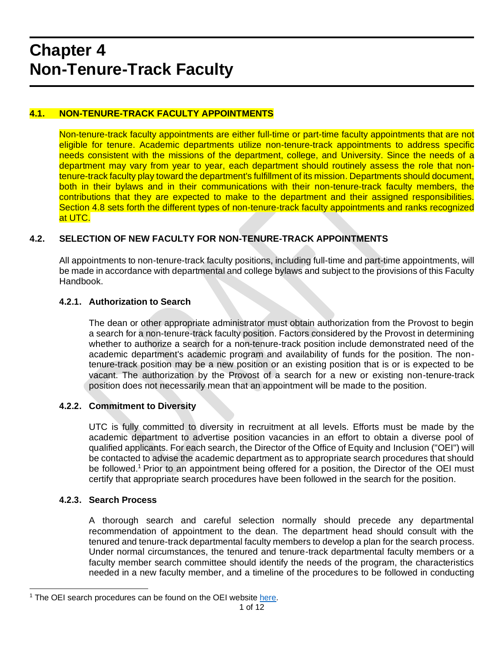# **Chapter 4 Non-Tenure-Track Faculty**

## **4.1. NON-TENURE-TRACK FACULTY APPOINTMENTS**

Non-tenure-track faculty appointments are either full-time or part-time faculty appointments that are not eligible for tenure. Academic departments utilize non-tenure-track appointments to address specific needs consistent with the missions of the department, college, and University. Since the needs of a department may vary from year to year, each department should routinely assess the role that nontenure-track faculty play toward the department's fulfillment of its mission. Departments should document, both in their bylaws and in their communications with their non-tenure-track faculty members, the contributions that they are expected to make to the department and their assigned responsibilities. Section 4.8 sets forth the different types of non-tenure-track faculty appointments and ranks recognized at UTC.

## **4.2. SELECTION OF NEW FACULTY FOR NON-TENURE-TRACK APPOINTMENTS**

All appointments to non-tenure-track faculty positions, including full-time and part-time appointments, will be made in accordance with departmental and college bylaws and subject to the provisions of this Faculty Handbook.

## **4.2.1. Authorization to Search**

The dean or other appropriate administrator must obtain authorization from the Provost to begin a search for a non-tenure-track faculty position. Factors considered by the Provost in determining whether to authorize a search for a non-tenure-track position include demonstrated need of the academic department's academic program and availability of funds for the position. The nontenure-track position may be a new position or an existing position that is or is expected to be vacant. The authorization by the Provost of a search for a new or existing non-tenure-track position does not necessarily mean that an appointment will be made to the position.

## **4.2.2. Commitment to Diversity**

UTC is fully committed to diversity in recruitment at all levels. Efforts must be made by the academic department to advertise position vacancies in an effort to obtain a diverse pool of qualified applicants. For each search, the Director of the Office of Equity and Inclusion ("OEI") will be contacted to advise the academic department as to appropriate search procedures that should be followed.<sup>1</sup> Prior to an appointment being offered for a position, the Director of the OEI must certify that appropriate search procedures have been followed in the search for the position.

#### **4.2.3. Search Process**

A thorough search and careful selection normally should precede any departmental recommendation of appointment to the dean. The department head should consult with the tenured and tenure-track departmental faculty members to develop a plan for the search process. Under normal circumstances, the tenured and tenure-track departmental faculty members or a faculty member search committee should identify the needs of the program, the characteristics needed in a new faculty member, and a timeline of the procedures to be followed in conducting

<sup>&</sup>lt;sup>1</sup> The OEI search procedures can be found on the OEI website [here.](http://www.utc.edu/equity-diversity/search-procedures.php)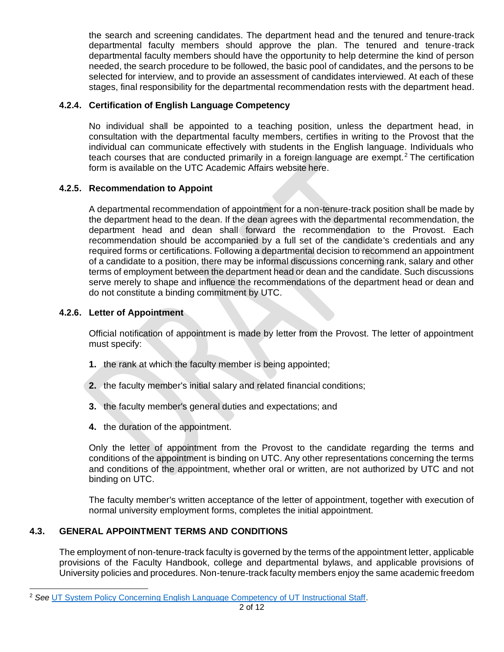the search and screening candidates. The department head and the tenured and tenure-track departmental faculty members should approve the plan. The tenured and tenure-track departmental faculty members should have the opportunity to help determine the kind of person needed, the search procedure to be followed, the basic pool of candidates, and the persons to be selected for interview, and to provide an assessment of candidates interviewed. At each of these stages, final responsibility for the departmental recommendation rests with the department head.

## **4.2.4. Certification of English Language Competency**

No individual shall be appointed to a teaching position, unless the department head, in consultation with the departmental faculty members, certifies in writing to the Provost that the individual can communicate effectively with students in the English language. Individuals who teach courses that are conducted primarily in a foreign language are exempt.<sup>2</sup> The certification form is available on the UTC Academic Affairs website here.

## **4.2.5. Recommendation to Appoint**

A departmental recommendation of appointment for a non-tenure-track position shall be made by the department head to the dean. If the dean agrees with the departmental recommendation, the department head and dean shall forward the recommendation to the Provost. Each recommendation should be accompanied by a full set of the candidate's credentials and any required forms or certifications. Following a departmental decision to recommend an appointment of a candidate to a position, there may be informal discussions concerning rank, salary and other terms of employment between the department head or dean and the candidate. Such discussions serve merely to shape and influence the recommendations of the department head or dean and do not constitute a binding commitment by UTC.

## **4.2.6. Letter of Appointment**

Official notification of appointment is made by letter from the Provost. The letter of appointment must specify:

- **1.** the rank at which the faculty member is being appointed;
- **2.** the faculty member's initial salary and related financial conditions;
- **3.** the faculty member's general duties and expectations; and
- **4.** the duration of the appointment.

Only the letter of appointment from the Provost to the candidate regarding the terms and conditions of the appointment is binding on UTC. Any other representations concerning the terms and conditions of the appointment, whether oral or written, are not authorized by UTC and not binding on UTC.

The faculty member's written acceptance of the letter of appointment, together with execution of normal university employment forms, completes the initial appointment.

# **4.3. GENERAL APPOINTMENT TERMS AND CONDITIONS**

The employment of non-tenure-track faculty is governed by the terms of the appointment letter, applicable provisions of the Faculty Handbook, college and departmental bylaws, and applicable provisions of University policies and procedures. Non-tenure-track faculty members enjoy the same academic freedom

<sup>2</sup> *See* [UT System Policy Concerning English Language Competency of UT Instructional Staff.](http://academicaffairs.tennessee.edu/wp-content/uploads/sites/9/2015/12/EnglishLangCompetency_1984.pdf)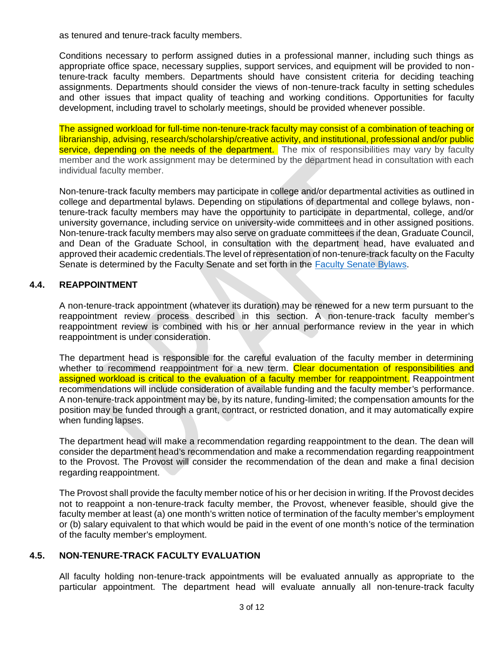as tenured and tenure-track faculty members.

Conditions necessary to perform assigned duties in a professional manner, including such things as appropriate office space, necessary supplies, support services, and equipment will be provided to nontenure-track faculty members. Departments should have consistent criteria for deciding teaching assignments. Departments should consider the views of non-tenure-track faculty in setting schedules and other issues that impact quality of teaching and working conditions. Opportunities for faculty development, including travel to scholarly meetings, should be provided whenever possible.

The assigned workload for full-time non-tenure-track faculty may consist of a combination of teaching or librarianship, advising, research/scholarship/creative activity, and institutional, professional and/or public service, depending on the needs of the department. The mix of responsibilities may vary by faculty member and the work assignment may be determined by the department head in consultation with each individual faculty member.

Non-tenure-track faculty members may participate in college and/or departmental activities as outlined in college and departmental bylaws. Depending on stipulations of departmental and college bylaws, nontenure-track faculty members may have the opportunity to participate in departmental, college, and/or university governance, including service on university-wide committees and in other assigned positions. Non-tenure-track faculty members may also serve on graduate committees if the dean, Graduate Council, and Dean of the Graduate School, in consultation with the department head, have evaluated and approved their academic credentials.The level of representation of non-tenure-track faculty on the Faculty Senate is determined by the Faculty Senate and set forth in the [Faculty Senate Bylaws.](http://www.utc.edu/faculty-senate/bylaws.php)

## **4.4. REAPPOINTMENT**

A non-tenure-track appointment (whatever its duration) may be renewed for a new term pursuant to the reappointment review process described in this section. A non-tenure-track faculty member's reappointment review is combined with his or her annual performance review in the year in which reappointment is under consideration.

The department head is responsible for the careful evaluation of the faculty member in determining whether to recommend reappointment for a new term. Clear documentation of responsibilities and assigned workload is critical to the evaluation of a faculty member for reappointment. Reappointment recommendations will include consideration of available funding and the faculty member's performance. A non-tenure-track appointment may be, by its nature, funding-limited; the compensation amounts for the position may be funded through a grant, contract, or restricted donation, and it may automatically expire when funding lapses.

The department head will make a recommendation regarding reappointment to the dean. The dean will consider the department head's recommendation and make a recommendation regarding reappointment to the Provost. The Provost will consider the recommendation of the dean and make a final decision regarding reappointment.

The Provost shall provide the faculty member notice of his or her decision in writing. If the Provost decides not to reappoint a non-tenure-track faculty member, the Provost, whenever feasible, should give the faculty member at least (a) one month's written notice of termination of the faculty member's employment or (b) salary equivalent to that which would be paid in the event of one month's notice of the termination of the faculty member's employment.

## **4.5. NON-TENURE-TRACK FACULTY EVALUATION**

All faculty holding non-tenure-track appointments will be evaluated annually as appropriate to the particular appointment. The department head will evaluate annually all non-tenure-track faculty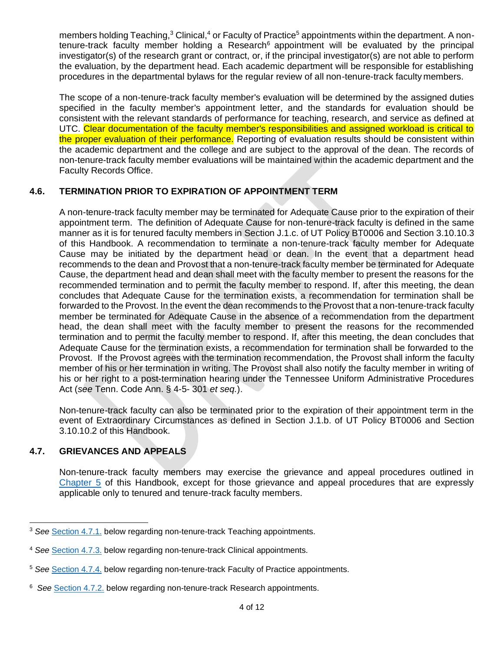members holding Teaching, $3$  Clinical, $4$  or Faculty of Practice<sup>5</sup> appointments within the department. A nontenure-track faculty member holding a Research<sup> $6$ </sup> appointment will be evaluated by the principal investigator(s) of the research grant or contract, or, if the principal investigator(s) are not able to perform the evaluation, by the department head. Each academic department will be responsible for establishing procedures in the departmental bylaws for the regular review of all non-tenure-track faculty members.

The scope of a non-tenure-track faculty member's evaluation will be determined by the assigned duties specified in the faculty member's appointment letter, and the standards for evaluation should be consistent with the relevant standards of performance for teaching, research, and service as defined at UTC. Clear documentation of the faculty member's responsibilities and assigned workload is critical to the proper evaluation of their performance. Reporting of evaluation results should be consistent within the academic department and the college and are subject to the approval of the dean. The records of non-tenure-track faculty member evaluations will be maintained within the academic department and the Faculty Records Office.

## **4.6. TERMINATION PRIOR TO EXPIRATION OF APPOINTMENT TERM**

A non-tenure-track faculty member may be terminated for Adequate Cause prior to the expiration of their appointment term. The definition of Adequate Cause for non-tenure-track faculty is defined in the same manner as it is for tenured faculty members in Section J.1.c. of UT Policy BT0006 and Section 3.10.10.3 of this Handbook. A recommendation to terminate a non-tenure-track faculty member for Adequate Cause may be initiated by the department head or dean. In the event that a department head recommends to the dean and Provost that a non-tenure-track faculty member be terminated for Adequate Cause, the department head and dean shall meet with the faculty member to present the reasons for the recommended termination and to permit the faculty member to respond. If, after this meeting, the dean concludes that Adequate Cause for the termination exists, a recommendation for termination shall be forwarded to the Provost. In the event the dean recommends to the Provost that a non-tenure-track faculty member be terminated for Adequate Cause in the absence of a recommendation from the department head, the dean shall meet with the faculty member to present the reasons for the recommended termination and to permit the faculty member to respond. If, after this meeting, the dean concludes that Adequate Cause for the termination exists, a recommendation for termination shall be forwarded to the Provost. If the Provost agrees with the termination recommendation, the Provost shall inform the faculty member of his or her termination in writing. The Provost shall also notify the faculty member in writing of his or her right to a post-termination hearing under the Tennessee Uniform Administrative Procedures Act (*see* Tenn. Code Ann. § 4-5- 301 *et seq.*).

Non-tenure-track faculty can also be terminated prior to the expiration of their appointment term in the event of Extraordinary Circumstances as defined in Section J.1.b. of UT Policy BT0006 and Section 3.10.10.2 of this Handbook.

# **4.7. GRIEVANCES AND APPEALS**

Non-tenure-track faculty members may exercise the grievance and appeal procedures outlined in Chapter 5 of this Handbook, except for those grievance and appeal procedures that are expressly applicable only to tenured and tenure-track faculty members.

<sup>3</sup> *See* [Section 4.7.1.](#page-4-0) below regarding non-tenure-track Teaching appointments.

<sup>4</sup> *See* [Section 4.7.3.](#page-6-0) below regarding non-tenure-track Clinical appointments.

<sup>5</sup> *See* [Section 4.7.4.](#page-7-0) below regarding non-tenure-track Faculty of Practice appointments.

<sup>&</sup>lt;sup>6</sup> See **[Section 4.7.2.](#page-5-0)** below regarding non-tenure-track Research appointments.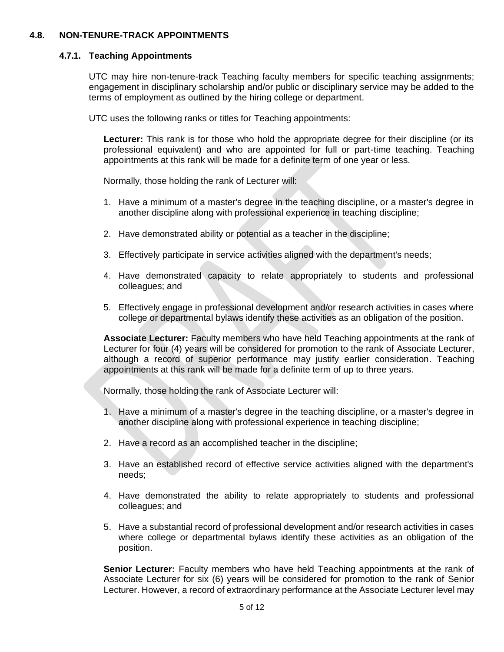## <span id="page-4-0"></span>**4.8. NON-TENURE-TRACK APPOINTMENTS**

#### **4.7.1. Teaching Appointments**

UTC may hire non-tenure-track Teaching faculty members for specific teaching assignments; engagement in disciplinary scholarship and/or public or disciplinary service may be added to the terms of employment as outlined by the hiring college or department.

UTC uses the following ranks or titles for Teaching appointments:

**Lecturer:** This rank is for those who hold the appropriate degree for their discipline (or its professional equivalent) and who are appointed for full or part-time teaching. Teaching appointments at this rank will be made for a definite term of one year or less.

Normally, those holding the rank of Lecturer will:

- 1. Have a minimum of a master's degree in the teaching discipline, or a master's degree in another discipline along with professional experience in teaching discipline;
- 2. Have demonstrated ability or potential as a teacher in the discipline;
- 3. Effectively participate in service activities aligned with the department's needs;
- 4. Have demonstrated capacity to relate appropriately to students and professional colleagues; and
- 5. Effectively engage in professional development and/or research activities in cases where college or departmental bylaws identify these activities as an obligation of the position.

**Associate Lecturer:** Faculty members who have held Teaching appointments at the rank of Lecturer for four (4) years will be considered for promotion to the rank of Associate Lecturer, although a record of superior performance may justify earlier consideration. Teaching appointments at this rank will be made for a definite term of up to three years.

Normally, those holding the rank of Associate Lecturer will:

- 1. Have a minimum of a master's degree in the teaching discipline, or a master's degree in another discipline along with professional experience in teaching discipline;
- 2. Have a record as an accomplished teacher in the discipline;
- 3. Have an established record of effective service activities aligned with the department's needs;
- 4. Have demonstrated the ability to relate appropriately to students and professional colleagues; and
- 5. Have a substantial record of professional development and/or research activities in cases where college or departmental bylaws identify these activities as an obligation of the position.

**Senior Lecturer:** Faculty members who have held Teaching appointments at the rank of Associate Lecturer for six (6) years will be considered for promotion to the rank of Senior Lecturer. However, a record of extraordinary performance at the Associate Lecturer level may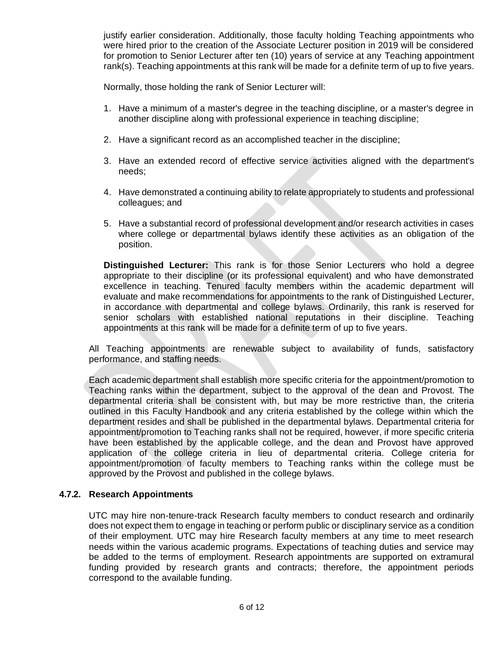justify earlier consideration. Additionally, those faculty holding Teaching appointments who were hired prior to the creation of the Associate Lecturer position in 2019 will be considered for promotion to Senior Lecturer after ten (10) years of service at any Teaching appointment rank(s). Teaching appointments at this rank will be made for a definite term of up to five years.

Normally, those holding the rank of Senior Lecturer will:

- 1. Have a minimum of a master's degree in the teaching discipline, or a master's degree in another discipline along with professional experience in teaching discipline;
- 2. Have a significant record as an accomplished teacher in the discipline;
- 3. Have an extended record of effective service activities aligned with the department's needs;
- 4. Have demonstrated a continuing ability to relate appropriately to students and professional colleagues; and
- 5. Have a substantial record of professional development and/or research activities in cases where college or departmental bylaws identify these activities as an obligation of the position.

**Distinguished Lecturer:** This rank is for those Senior Lecturers who hold a degree appropriate to their discipline (or its professional equivalent) and who have demonstrated excellence in teaching. Tenured faculty members within the academic department will evaluate and make recommendations for appointments to the rank of Distinguished Lecturer, in accordance with departmental and college bylaws. Ordinarily, this rank is reserved for senior scholars with established national reputations in their discipline. Teaching appointments at this rank will be made for a definite term of up to five years.

All Teaching appointments are renewable subject to availability of funds, satisfactory performance, and staffing needs.

Each academic department shall establish more specific criteria for the appointment/promotion to Teaching ranks within the department, subject to the approval of the dean and Provost. The departmental criteria shall be consistent with, but may be more restrictive than, the criteria outlined in this Faculty Handbook and any criteria established by the college within which the department resides and shall be published in the departmental bylaws. Departmental criteria for appointment/promotion to Teaching ranks shall not be required, however, if more specific criteria have been established by the applicable college, and the dean and Provost have approved application of the college criteria in lieu of departmental criteria. College criteria for appointment/promotion of faculty members to Teaching ranks within the college must be approved by the Provost and published in the college bylaws.

# <span id="page-5-0"></span>**4.7.2. Research Appointments**

UTC may hire non-tenure-track Research faculty members to conduct research and ordinarily does not expect them to engage in teaching or perform public or disciplinary service as a condition of their employment. UTC may hire Research faculty members at any time to meet research needs within the various academic programs. Expectations of teaching duties and service may be added to the terms of employment. Research appointments are supported on extramural funding provided by research grants and contracts; therefore, the appointment periods correspond to the available funding.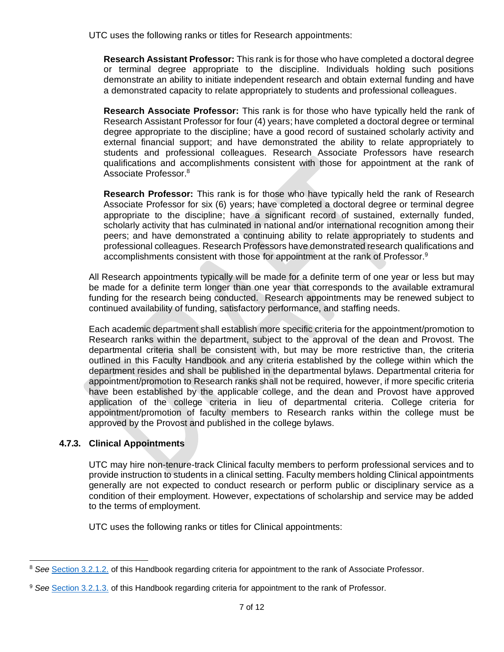UTC uses the following ranks or titles for Research appointments:

**Research Assistant Professor:** This rank is for those who have completed a doctoral degree or terminal degree appropriate to the discipline. Individuals holding such positions demonstrate an ability to initiate independent research and obtain external funding and have a demonstrated capacity to relate appropriately to students and professional colleagues.

**Research Associate Professor:** This rank is for those who have typically held the rank of Research Assistant Professor for four (4) years; have completed a doctoral degree or terminal degree appropriate to the discipline; have a good record of sustained scholarly activity and external financial support; and have demonstrated the ability to relate appropriately to students and professional colleagues. Research Associate Professors have research qualifications and accomplishments consistent with those for appointment at the rank of Associate Professor.<sup>8</sup>

**Research Professor:** This rank is for those who have typically held the rank of Research Associate Professor for six (6) years; have completed a doctoral degree or terminal degree appropriate to the discipline; have a significant record of sustained, externally funded, scholarly activity that has culminated in national and/or international recognition among their peers; and have demonstrated a continuing ability to relate appropriately to students and professional colleagues. Research Professors have demonstrated research qualifications and accomplishments consistent with those for appointment at the rank of Professor.<sup>9</sup>

All Research appointments typically will be made for a definite term of one year or less but may be made for a definite term longer than one year that corresponds to the available extramural funding for the research being conducted. Research appointments may be renewed subject to continued availability of funding, satisfactory performance, and staffing needs.

Each academic department shall establish more specific criteria for the appointment/promotion to Research ranks within the department, subject to the approval of the dean and Provost. The departmental criteria shall be consistent with, but may be more restrictive than, the criteria outlined in this Faculty Handbook and any criteria established by the college within which the department resides and shall be published in the departmental bylaws. Departmental criteria for appointment/promotion to Research ranks shall not be required, however, if more specific criteria have been established by the applicable college, and the dean and Provost have approved application of the college criteria in lieu of departmental criteria. College criteria for appointment/promotion of faculty members to Research ranks within the college must be approved by the Provost and published in the college bylaws.

# <span id="page-6-0"></span>**4.7.3. Clinical Appointments**

UTC may hire non-tenure-track Clinical faculty members to perform professional services and to provide instruction to students in a clinical setting. Faculty members holding Clinical appointments generally are not expected to conduct research or perform public or disciplinary service as a condition of their employment. However, expectations of scholarship and service may be added to the terms of employment.

UTC uses the following ranks or titles for Clinical appointments:

<sup>8</sup> *See* Section 3.2.1.2. of this Handbook regarding criteria for appointment to the rank of Associate Professor.

<sup>9</sup> *See* Section 3.2.1.3. of this Handbook regarding criteria for appointment to the rank of Professor.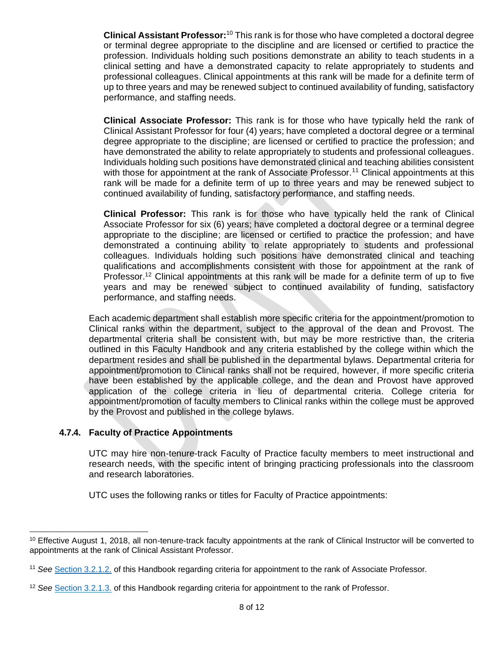**Clinical Assistant Professor:**<sup>10</sup> This rank is for those who have completed a doctoral degree or terminal degree appropriate to the discipline and are licensed or certified to practice the profession. Individuals holding such positions demonstrate an ability to teach students in a clinical setting and have a demonstrated capacity to relate appropriately to students and professional colleagues. Clinical appointments at this rank will be made for a definite term of up to three years and may be renewed subject to continued availability of funding, satisfactory performance, and staffing needs.

**Clinical Associate Professor:** This rank is for those who have typically held the rank of Clinical Assistant Professor for four (4) years; have completed a doctoral degree or a terminal degree appropriate to the discipline; are licensed or certified to practice the profession; and have demonstrated the ability to relate appropriately to students and professional colleagues. Individuals holding such positions have demonstrated clinical and teaching abilities consistent with those for appointment at the rank of Associate Professor.<sup>11</sup> Clinical appointments at this rank will be made for a definite term of up to three years and may be renewed subject to continued availability of funding, satisfactory performance, and staffing needs.

**Clinical Professor:** This rank is for those who have typically held the rank of Clinical Associate Professor for six (6) years; have completed a doctoral degree or a terminal degree appropriate to the discipline; are licensed or certified to practice the profession; and have demonstrated a continuing ability to relate appropriately to students and professional colleagues. Individuals holding such positions have demonstrated clinical and teaching qualifications and accomplishments consistent with those for appointment at the rank of Professor.<sup>12</sup> Clinical appointments at this rank will be made for a definite term of up to five years and may be renewed subject to continued availability of funding, satisfactory performance, and staffing needs.

Each academic department shall establish more specific criteria for the appointment/promotion to Clinical ranks within the department, subject to the approval of the dean and Provost. The departmental criteria shall be consistent with, but may be more restrictive than, the criteria outlined in this Faculty Handbook and any criteria established by the college within which the department resides and shall be published in the departmental bylaws. Departmental criteria for appointment/promotion to Clinical ranks shall not be required, however, if more specific criteria have been established by the applicable college, and the dean and Provost have approved application of the college criteria in lieu of departmental criteria. College criteria for appointment/promotion of faculty members to Clinical ranks within the college must be approved by the Provost and published in the college bylaws.

## <span id="page-7-0"></span>**4.7.4. Faculty of Practice Appointments**

UTC may hire non-tenure-track Faculty of Practice faculty members to meet instructional and research needs, with the specific intent of bringing practicing professionals into the classroom and research laboratories.

UTC uses the following ranks or titles for Faculty of Practice appointments:

<sup>&</sup>lt;sup>10</sup> Effective August 1, 2018, all non-tenure-track faculty appointments at the rank of Clinical Instructor will be converted to appointments at the rank of Clinical Assistant Professor.

<sup>11</sup> *See* Section 3.2.1.2. of this Handbook regarding criteria for appointment to the rank of Associate Professor.

<sup>12</sup> *See* Section 3.2.1.3. of this Handbook regarding criteria for appointment to the rank of Professor.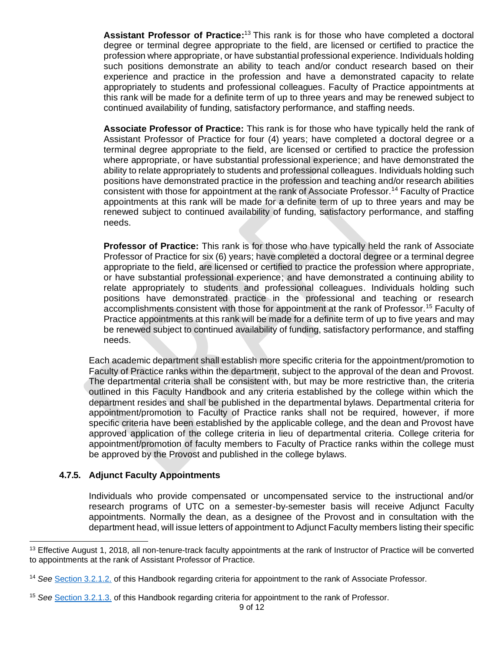Assistant Professor of Practice:<sup>13</sup> This rank is for those who have completed a doctoral degree or terminal degree appropriate to the field, are licensed or certified to practice the profession where appropriate, or have substantial professional experience. Individuals holding such positions demonstrate an ability to teach and/or conduct research based on their experience and practice in the profession and have a demonstrated capacity to relate appropriately to students and professional colleagues. Faculty of Practice appointments at this rank will be made for a definite term of up to three years and may be renewed subject to continued availability of funding, satisfactory performance, and staffing needs.

**Associate Professor of Practice:** This rank is for those who have typically held the rank of Assistant Professor of Practice for four (4) years; have completed a doctoral degree or a terminal degree appropriate to the field, are licensed or certified to practice the profession where appropriate, or have substantial professional experience; and have demonstrated the ability to relate appropriately to students and professional colleagues. Individuals holding such positions have demonstrated practice in the profession and teaching and/or research abilities consistent with those for appointment at the rank of Associate Professor.<sup>14</sup> Faculty of Practice appointments at this rank will be made for a definite term of up to three years and may be renewed subject to continued availability of funding, satisfactory performance, and staffing needs.

**Professor of Practice:** This rank is for those who have typically held the rank of Associate Professor of Practice for six (6) years; have completed a doctoral degree or a terminal degree appropriate to the field, are licensed or certified to practice the profession where appropriate, or have substantial professional experience; and have demonstrated a continuing ability to relate appropriately to students and professional colleagues. Individuals holding such positions have demonstrated practice in the professional and teaching or research accomplishments consistent with those for appointment at the rank of Professor.<sup>15</sup> Faculty of Practice appointments at this rank will be made for a definite term of up to five years and may be renewed subject to continued availability of funding, satisfactory performance, and staffing needs.

Each academic department shall establish more specific criteria for the appointment/promotion to Faculty of Practice ranks within the department, subject to the approval of the dean and Provost. The departmental criteria shall be consistent with, but may be more restrictive than, the criteria outlined in this Faculty Handbook and any criteria established by the college within which the department resides and shall be published in the departmental bylaws. Departmental criteria for appointment/promotion to Faculty of Practice ranks shall not be required, however, if more specific criteria have been established by the applicable college, and the dean and Provost have approved application of the college criteria in lieu of departmental criteria. College criteria for appointment/promotion of faculty members to Faculty of Practice ranks within the college must be approved by the Provost and published in the college bylaws.

## **4.7.5. Adjunct Faculty Appointments**

Individuals who provide compensated or uncompensated service to the instructional and/or research programs of UTC on a semester-by-semester basis will receive Adjunct Faculty appointments. Normally the dean, as a designee of the Provost and in consultation with the department head, will issue letters of appointment to Adjunct Faculty members listing their specific

<sup>&</sup>lt;sup>13</sup> Effective August 1, 2018, all non-tenure-track faculty appointments at the rank of Instructor of Practice will be converted to appointments at the rank of Assistant Professor of Practice.

<sup>14</sup> *See* Section 3.2.1.2. of this Handbook regarding criteria for appointment to the rank of Associate Professor.

<sup>15</sup> *See* Section 3.2.1.3. of this Handbook regarding criteria for appointment to the rank of Professor.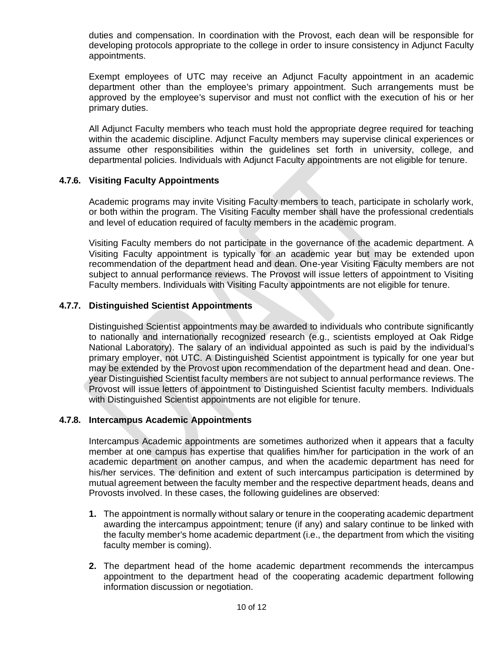duties and compensation. In coordination with the Provost, each dean will be responsible for developing protocols appropriate to the college in order to insure consistency in Adjunct Faculty appointments.

Exempt employees of UTC may receive an Adjunct Faculty appointment in an academic department other than the employee's primary appointment. Such arrangements must be approved by the employee's supervisor and must not conflict with the execution of his or her primary duties.

All Adjunct Faculty members who teach must hold the appropriate degree required for teaching within the academic discipline. Adjunct Faculty members may supervise clinical experiences or assume other responsibilities within the guidelines set forth in university, college, and departmental policies. Individuals with Adjunct Faculty appointments are not eligible for tenure.

## **4.7.6. Visiting Faculty Appointments**

Academic programs may invite Visiting Faculty members to teach, participate in scholarly work, or both within the program. The Visiting Faculty member shall have the professional credentials and level of education required of faculty members in the academic program.

Visiting Faculty members do not participate in the governance of the academic department. A Visiting Faculty appointment is typically for an academic year but may be extended upon recommendation of the department head and dean. One-year Visiting Faculty members are not subject to annual performance reviews. The Provost will issue letters of appointment to Visiting Faculty members. Individuals with Visiting Faculty appointments are not eligible for tenure.

## **4.7.7. Distinguished Scientist Appointments**

Distinguished Scientist appointments may be awarded to individuals who contribute significantly to nationally and internationally recognized research (e.g., scientists employed at Oak Ridge National Laboratory). The salary of an individual appointed as such is paid by the individual's primary employer, not UTC. A Distinguished Scientist appointment is typically for one year but may be extended by the Provost upon recommendation of the department head and dean. Oneyear Distinguished Scientist faculty members are not subject to annual performance reviews. The Provost will issue letters of appointment to Distinguished Scientist faculty members. Individuals with Distinguished Scientist appointments are not eligible for tenure.

## **4.7.8. Intercampus Academic Appointments**

Intercampus Academic appointments are sometimes authorized when it appears that a faculty member at one campus has expertise that qualifies him/her for participation in the work of an academic department on another campus, and when the academic department has need for his/her services. The definition and extent of such intercampus participation is determined by mutual agreement between the faculty member and the respective department heads, deans and Provosts involved. In these cases, the following guidelines are observed:

- **1.** The appointment is normally without salary or tenure in the cooperating academic department awarding the intercampus appointment; tenure (if any) and salary continue to be linked with the faculty member's home academic department (i.e., the department from which the visiting faculty member is coming).
- **2.** The department head of the home academic department recommends the intercampus appointment to the department head of the cooperating academic department following information discussion or negotiation.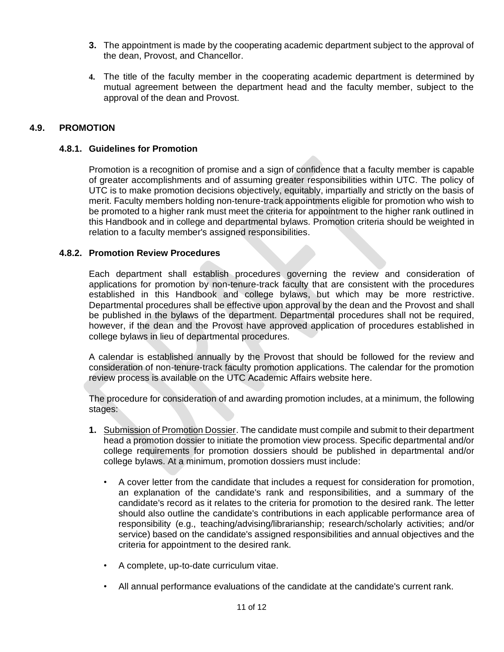- **3.** The appointment is made by the cooperating academic department subject to the approval of the dean, Provost, and Chancellor.
- **4.** The title of the faculty member in the cooperating academic department is determined by mutual agreement between the department head and the faculty member, subject to the approval of the dean and Provost.

## **4.9. PROMOTION**

#### **4.8.1. Guidelines for Promotion**

Promotion is a recognition of promise and a sign of confidence that a faculty member is capable of greater accomplishments and of assuming greater responsibilities within UTC. The policy of UTC is to make promotion decisions objectively, equitably, impartially and strictly on the basis of merit. Faculty members holding non-tenure-track appointments eligible for promotion who wish to be promoted to a higher rank must meet the criteria for appointment to the higher rank outlined in this Handbook and in college and departmental bylaws. Promotion criteria should be weighted in relation to a faculty member's assigned responsibilities.

#### **4.8.2. Promotion Review Procedures**

Each department shall establish procedures governing the review and consideration of applications for promotion by non-tenure-track faculty that are consistent with the procedures established in this Handbook and college bylaws, but which may be more restrictive. Departmental procedures shall be effective upon approval by the dean and the Provost and shall be published in the bylaws of the department. Departmental procedures shall not be required, however, if the dean and the Provost have approved application of procedures established in college bylaws in lieu of departmental procedures.

A calendar is established annually by the Provost that should be followed for the review and consideration of non-tenure-track faculty promotion applications. The calendar for the promotion review process is available on the UTC Academic Affairs website here.

The procedure for consideration of and awarding promotion includes, at a minimum, the following stages:

- **1.** Submission of Promotion Dossier. The candidate must compile and submit to their department head a promotion dossier to initiate the promotion view process. Specific departmental and/or college requirements for promotion dossiers should be published in departmental and/or college bylaws. At a minimum, promotion dossiers must include:
	- A cover letter from the candidate that includes a request for consideration for promotion, an explanation of the candidate's rank and responsibilities, and a summary of the candidate's record as it relates to the criteria for promotion to the desired rank. The letter should also outline the candidate's contributions in each applicable performance area of responsibility (e.g., teaching/advising/librarianship; research/scholarly activities; and/or service) based on the candidate's assigned responsibilities and annual objectives and the criteria for appointment to the desired rank.
	- A complete, up-to-date curriculum vitae.
	- All annual performance evaluations of the candidate at the candidate's current rank.